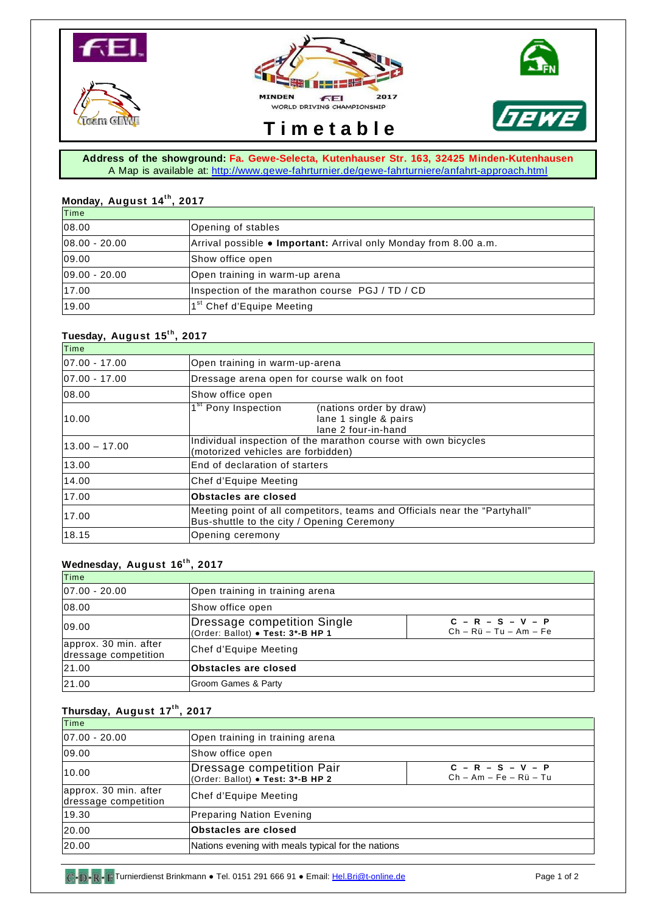







# **T i m e t a b l e**

**Address of the showground: Fa. Gewe-Selecta, Kutenhauser Str. 163, 32425 Minden-Kutenhausen**  A Map is available at:<http://www.gewe-fahrturnier.de/gewe-fahrturniere/anfahrt-approach.html>

## **Monday, August 14t h , 2017**

| Time          |                                                                          |
|---------------|--------------------------------------------------------------------------|
| 08.00         | Opening of stables                                                       |
| 08.00 - 20.00 | Arrival possible $\bullet$ Important: Arrival only Monday from 8.00 a.m. |
| 09.00         | Show office open                                                         |
| 09.00 - 20.00 | Open training in warm-up arena                                           |
| 17.00         | Inspection of the marathon course PGJ / TD / CD                          |
| 19.00         | 1 <sup>st</sup> Chef d'Equipe Meeting                                    |

### **Tuesday, August 15t h , 2017**

| Time              |                                                                                                                          |
|-------------------|--------------------------------------------------------------------------------------------------------------------------|
| $ 07.00 - 17.00 $ | Open training in warm-up-arena                                                                                           |
| 07.00 - 17.00     | Dressage arena open for course walk on foot                                                                              |
| 08.00             | Show office open                                                                                                         |
| 10.00             | 1 <sup>st</sup> Pony Inspection<br>(nations order by draw)<br>lane 1 single & pairs<br>lane 2 four-in-hand               |
| $13.00 - 17.00$   | Individual inspection of the marathon course with own bicycles<br>(motorized vehicles are forbidden)                     |
| 13.00             | End of declaration of starters                                                                                           |
| 14.00             | Chef d'Equipe Meeting                                                                                                    |
| 17.00             | Obstacles are closed                                                                                                     |
| 17.00             | Meeting point of all competitors, teams and Officials near the "Partyhall"<br>Bus-shuttle to the city / Opening Ceremony |
| 18.15             | Opening ceremony                                                                                                         |

## **Wednesday, August 16t h , 2017**

| Time                                          |                                                                  |                                                 |
|-----------------------------------------------|------------------------------------------------------------------|-------------------------------------------------|
| $ 07.00 - 20.00 $                             | Open training in training arena                                  |                                                 |
| 08.00                                         | Show office open                                                 |                                                 |
| 09.00                                         | Dressage competition Single<br>(Order: Ballot) . Test: 3*-B HP 1 | $C - R - S - V - P$<br>$Ch - Rü - Tu - Am - Fe$ |
| approx. 30 min. after<br>dressage competition | Chef d'Equipe Meeting                                            |                                                 |
| 21.00                                         | <b>Obstacles are closed</b>                                      |                                                 |
| 21.00                                         | Groom Games & Party                                              |                                                 |

# **Thursday, August 17t h , 2017**

| Time                                          |                                                                |                                                 |
|-----------------------------------------------|----------------------------------------------------------------|-------------------------------------------------|
| $ 07.00 - 20.00 $                             | Open training in training arena                                |                                                 |
| 09.00                                         | Show office open                                               |                                                 |
| 10.00                                         | Dressage competition Pair<br>(Order: Ballot) • Test: 3*-B HP 2 | $C - R - S - V - P$<br>$Ch - Am - Fe - Rü - Tu$ |
| approx. 30 min. after<br>dressage competition | Chef d'Equipe Meeting                                          |                                                 |
| 19.30                                         | <b>Preparing Nation Evening</b>                                |                                                 |
| 20.00                                         | <b>Obstacles are closed</b>                                    |                                                 |
| 20.00                                         | Nations evening with meals typical for the nations             |                                                 |